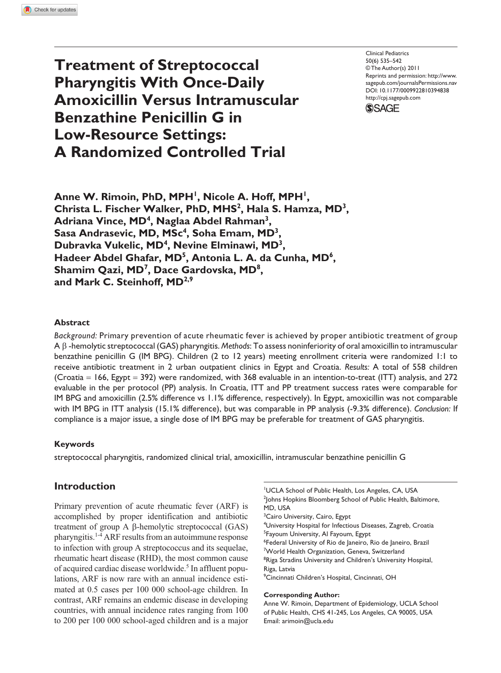**Treatment of Streptococcal Pharyngitis With Once-Daily Amoxicillin Versus Intramuscular Benzathine Penicillin G in Low-Resource Settings: A Randomized Controlled Trial**

Clinical Pediatrics 50(6) 535–542 © The Author(s) 2011 Reprints and permission: http://www. sagepub.com/journalsPermissions.nav DOI: 10.1177/0009922810394838 http://cpj.sagepub.com



**Anne W. Rimoin, PhD, MPH1 , Nicole A. Hoff, MPH1 ,** Christa L. Fischer Walker, PhD, MHS<sup>2</sup>, Hala S. Hamza, MD<sup>3</sup>, **Adriana Vince, MD4 , Naglaa Abdel Rahman3 ,**  $\mathsf{S}$ asa Andrasevic, MD, MSc<sup>4</sup>, Soha Emam, MD<sup>3</sup>, Dubravka Vukelic, MD<sup>4</sup>, Nevine Elminawi, MD<sup>3</sup>, Hadeer Abdel Ghafar, MD<sup>5</sup>, Antonia L. A. da Cunha, MD<sup>6</sup>, **Shamim Qazi, MD7 , Dace Gardovska, MD8 ,** and Mark C. Steinhoff, MD<sup>2,9</sup>

#### **Abstract**

*Background:* Primary prevention of acute rheumatic fever is achieved by proper antibiotic treatment of group A b -hemolytic streptococcal (GAS) pharyngitis. *Methods*: To assess noninferiority of oral amoxicillin to intramuscular benzathine penicillin G (IM BPG). Children (2 to 12 years) meeting enrollment criteria were randomized 1:1 to receive antibiotic treatment in 2 urban outpatient clinics in Egypt and Croatia. *Results:* A total of 558 children (Croatia = 166, Egypt = 392) were randomized, with 368 evaluable in an intention-to-treat (ITT) analysis, and 272 evaluable in the per protocol (PP) analysis. In Croatia, ITT and PP treatment success rates were comparable for IM BPG and amoxicillin (2.5% difference vs 1.1% difference, respectively). In Egypt, amoxicillin was not comparable with IM BPG in ITT analysis (15.1% difference), but was comparable in PP analysis (-9.3% difference). *Conclusion:* If compliance is a major issue, a single dose of IM BPG may be preferable for treatment of GAS pharyngitis.

#### **Keywords**

streptococcal pharyngitis, randomized clinical trial, amoxicillin, intramuscular benzathine penicillin G

## **Introduction**

Primary prevention of acute rheumatic fever (ARF) is accomplished by proper identification and antibiotic treatment of group  $A \beta$ -hemolytic streptococcal (GAS) pharyngitis.1-4 ARF results from an autoimmune response to infection with group A streptococcus and its sequelae, rheumatic heart disease (RHD), the most common cause of acquired cardiac disease worldwide.<sup>5</sup> In affluent populations, ARF is now rare with an annual incidence estimated at 0.5 cases per 100 000 school-age children. In contrast, ARF remains an endemic disease in developing countries, with annual incidence rates ranging from 100 to 200 per 100 000 school-aged children and is a major

<sup>1</sup>UCLA School of Public Health, Los Angeles, CA, USA 2 Johns Hopkins Bloomberg School of Public Health, Baltimore, MD, USA <sup>3</sup>Cairo University, Cairo, Egypt

4 University Hospital for Infectious Diseases, Zagreb, Croatia 5 Fayoum University, Al Fayoum, Egypt 6 Federal University of Rio de Janeiro, Rio de Janeiro, Brazil <sup>7</sup>World Health Organization, Geneva, Switzerland <sup>8</sup>Riga Stradins University and Children's University Hospital, Riga, Latvia 9 Cincinnati Children's Hospital, Cincinnati, OH

#### **Corresponding Author:**

Anne W. Rimoin, Department of Epidemiology, UCLA School of Public Health, CHS 41-245, Los Angeles, CA 90005, USA Email: arimoin@ucla.edu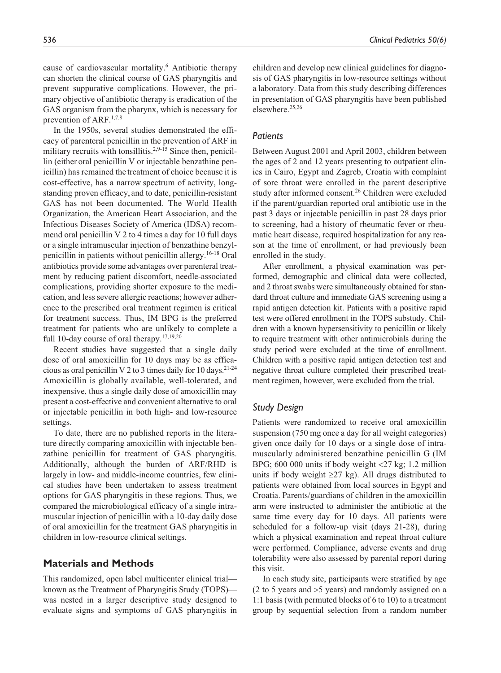cause of cardiovascular mortality.<sup>6</sup> Antibiotic therapy can shorten the clinical course of GAS pharyngitis and prevent suppurative complications. However, the primary objective of antibiotic therapy is eradication of the GAS organism from the pharynx, which is necessary for prevention of ARF.1,7,8

In the 1950s, several studies demonstrated the efficacy of parenteral penicillin in the prevention of ARF in military recruits with tonsillitis.<sup>2,9-15</sup> Since then, penicillin (either oral penicillin V or injectable benzathine penicillin) has remained the treatment of choice because it is cost-effective, has a narrow spectrum of activity, longstanding proven efficacy, and to date, penicillin-resistant GAS has not been documented. The World Health Organization, the American Heart Association, and the Infectious Diseases Society of America (IDSA) recommend oral penicillin V 2 to 4 times a day for 10 full days or a single intramuscular injection of benzathine benzylpenicillin in patients without penicillin allergy.16-18 Oral antibiotics provide some advantages over parenteral treatment by reducing patient discomfort, needle-associated complications, providing shorter exposure to the medication, and less severe allergic reactions; however adherence to the prescribed oral treatment regimen is critical for treatment success. Thus, IM BPG is the preferred treatment for patients who are unlikely to complete a full 10-day course of oral therapy.<sup>17,19,20</sup>

Recent studies have suggested that a single daily dose of oral amoxicillin for 10 days may be as efficacious as oral penicillin V 2 to 3 times daily for 10 days.<sup>21-24</sup> Amoxicillin is globally available, well-tolerated, and inexpensive, thus a single daily dose of amoxicillin may present a cost-effective and convenient alternative to oral or injectable penicillin in both high- and low-resource settings.

To date, there are no published reports in the literature directly comparing amoxicillin with injectable benzathine penicillin for treatment of GAS pharyngitis. Additionally, although the burden of ARF/RHD is largely in low- and middle-income countries, few clinical studies have been undertaken to assess treatment options for GAS pharyngitis in these regions. Thus, we compared the microbiological efficacy of a single intramuscular injection of penicillin with a 10-day daily dose of oral amoxicillin for the treatment GAS pharyngitis in children in low-resource clinical settings.

## **Materials and Methods**

This randomized, open label multicenter clinical trial known as the Treatment of Pharyngitis Study (TOPS) was nested in a larger descriptive study designed to evaluate signs and symptoms of GAS pharyngitis in children and develop new clinical guidelines for diagnosis of GAS pharyngitis in low-resource settings without a laboratory. Data from this study describing differences in presentation of GAS pharyngitis have been published elsewhere.25,26

### *Patients*

Between August 2001 and April 2003, children between the ages of 2 and 12 years presenting to outpatient clinics in Cairo, Egypt and Zagreb, Croatia with complaint of sore throat were enrolled in the parent descriptive study after informed consent.26 Children were excluded if the parent/guardian reported oral antibiotic use in the past 3 days or injectable penicillin in past 28 days prior to screening, had a history of rheumatic fever or rheumatic heart disease, required hospitalization for any reason at the time of enrollment, or had previously been enrolled in the study.

After enrollment, a physical examination was performed, demographic and clinical data were collected, and 2 throat swabs were simultaneously obtained for standard throat culture and immediate GAS screening using a rapid antigen detection kit. Patients with a positive rapid test were offered enrollment in the TOPS substudy. Children with a known hypersensitivity to penicillin or likely to require treatment with other antimicrobials during the study period were excluded at the time of enrollment. Children with a positive rapid antigen detection test and negative throat culture completed their prescribed treatment regimen, however, were excluded from the trial.

### *Study Design*

Patients were randomized to receive oral amoxicillin suspension (750 mg once a day for all weight categories) given once daily for 10 days or a single dose of intramuscularly administered benzathine penicillin G (IM BPG; 600 000 units if body weight <27 kg; 1.2 million units if body weight  $\geq$ 27 kg). All drugs distributed to patients were obtained from local sources in Egypt and Croatia. Parents/guardians of children in the amoxicillin arm were instructed to administer the antibiotic at the same time every day for 10 days. All patients were scheduled for a follow-up visit (days 21-28), during which a physical examination and repeat throat culture were performed. Compliance, adverse events and drug tolerability were also assessed by parental report during this visit.

In each study site, participants were stratified by age (2 to 5 years and >5 years) and randomly assigned on a 1:1 basis (with permuted blocks of 6 to 10) to a treatment group by sequential selection from a random number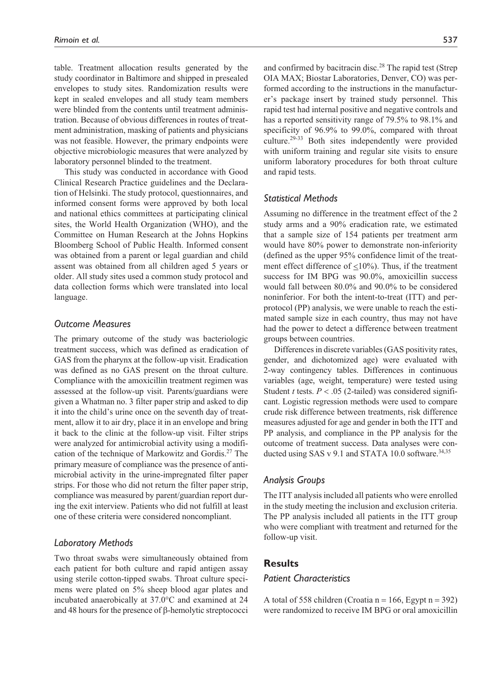table. Treatment allocation results generated by the study coordinator in Baltimore and shipped in presealed envelopes to study sites. Randomization results were kept in sealed envelopes and all study team members were blinded from the contents until treatment administration. Because of obvious differences in routes of treatment administration, masking of patients and physicians was not feasible. However, the primary endpoints were objective microbiologic measures that were analyzed by laboratory personnel blinded to the treatment.

This study was conducted in accordance with Good Clinical Research Practice guidelines and the Declaration of Helsinki. The study protocol, questionnaires, and informed consent forms were approved by both local and national ethics committees at participating clinical sites, the World Health Organization (WHO), and the Committee on Human Research at the Johns Hopkins Bloomberg School of Public Health. Informed consent was obtained from a parent or legal guardian and child assent was obtained from all children aged 5 years or older. All study sites used a common study protocol and data collection forms which were translated into local language.

## *Outcome Measures*

The primary outcome of the study was bacteriologic treatment success, which was defined as eradication of GAS from the pharynx at the follow-up visit. Eradication was defined as no GAS present on the throat culture. Compliance with the amoxicillin treatment regimen was assessed at the follow-up visit. Parents/guardians were given a Whatman no. 3 filter paper strip and asked to dip it into the child's urine once on the seventh day of treatment, allow it to air dry, place it in an envelope and bring it back to the clinic at the follow-up visit. Filter strips were analyzed for antimicrobial activity using a modification of the technique of Markowitz and Gordis.27 The primary measure of compliance was the presence of antimicrobial activity in the urine-impregnated filter paper strips. For those who did not return the filter paper strip, compliance was measured by parent/guardian report during the exit interview. Patients who did not fulfill at least one of these criteria were considered noncompliant.

### *Laboratory Methods*

Two throat swabs were simultaneously obtained from each patient for both culture and rapid antigen assay using sterile cotton-tipped swabs. Throat culture specimens were plated on 5% sheep blood agar plates and incubated anaerobically at 37.0°C and examined at 24 and 48 hours for the presence of  $\beta$ -hemolytic streptococci and confirmed by bacitracin disc.<sup>28</sup> The rapid test (Strep OIA MAX; Biostar Laboratories, Denver, CO) was performed according to the instructions in the manufacturer's package insert by trained study personnel. This rapid test had internal positive and negative controls and has a reported sensitivity range of 79.5% to 98.1% and specificity of 96.9% to 99.0%, compared with throat culture.29-33 Both sites independently were provided with uniform training and regular site visits to ensure uniform laboratory procedures for both throat culture and rapid tests.

### *Statistical Methods*

Assuming no difference in the treatment effect of the 2 study arms and a 90% eradication rate, we estimated that a sample size of 154 patients per treatment arm would have 80% power to demonstrate non-inferiority (defined as the upper 95% confidence limit of the treatment effect difference of  $\leq 10\%$ ). Thus, if the treatment success for IM BPG was 90.0%, amoxicillin success would fall between 80.0% and 90.0% to be considered noninferior. For both the intent-to-treat (ITT) and perprotocol (PP) analysis, we were unable to reach the estimated sample size in each country, thus may not have had the power to detect a difference between treatment groups between countries.

Differences in discrete variables (GAS positivity rates, gender, and dichotomized age) were evaluated with 2-way contingency tables. Differences in continuous variables (age, weight, temperature) were tested using Student *t* tests. *P* < .05 (2-tailed) was considered significant. Logistic regression methods were used to compare crude risk difference between treatments, risk difference measures adjusted for age and gender in both the ITT and PP analysis, and compliance in the PP analysis for the outcome of treatment success. Data analyses were conducted using SAS v 9.1 and STATA 10.0 software.<sup>34,35</sup>

## *Analysis Groups*

The ITT analysis included all patients who were enrolled in the study meeting the inclusion and exclusion criteria. The PP analysis included all patients in the ITT group who were compliant with treatment and returned for the follow-up visit.

### **Results**

## *Patient Characteristics*

A total of 558 children (Croatia  $n = 166$ , Egypt  $n = 392$ ) were randomized to receive IM BPG or oral amoxicillin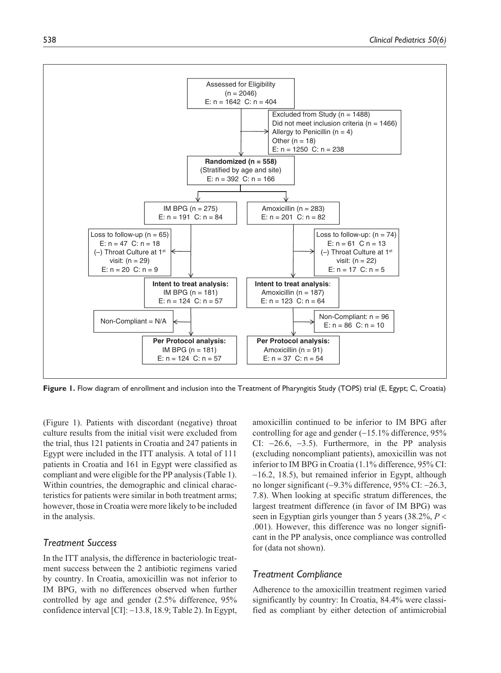

**Figure 1.** Flow diagram of enrollment and inclusion into the Treatment of Pharyngitis Study (TOPS) trial (E, Egypt; C, Croatia)

(Figure 1). Patients with discordant (negative) throat culture results from the initial visit were excluded from the trial, thus 121 patients in Croatia and 247 patients in Egypt were included in the ITT analysis. A total of 111 patients in Croatia and 161 in Egypt were classified as compliant and were eligible for the PP analysis (Table 1). Within countries, the demographic and clinical characteristics for patients were similar in both treatment arms; however, those in Croatia were more likely to be included in the analysis.

# *Treatment Success*

In the ITT analysis, the difference in bacteriologic treatment success between the 2 antibiotic regimens varied by country. In Croatia, amoxicillin was not inferior to IM BPG, with no differences observed when further controlled by age and gender (2.5% difference, 95% confidence interval [CI]:  $-13.8$ , 18.9; Table 2). In Egypt, amoxicillin continued to be inferior to IM BPG after controlling for age and gender  $(-15.1\%$  difference, 95% CI:  $-26.6$ ,  $-3.5$ ). Furthermore, in the PP analysis (excluding noncompliant patients), amoxicillin was not inferior to IM BPG in Croatia (1.1% difference, 95% CI: -16.2, 18.5), but remained inferior in Egypt, although no longer significant (-9.3% difference, 95% CI: -26.3, 7.8). When looking at specific stratum differences, the largest treatment difference (in favor of IM BPG) was seen in Egyptian girls younger than 5 years (38.2%, *P* < .001). However, this difference was no longer significant in the PP analysis, once compliance was controlled for (data not shown).

## *Treatment Compliance*

Adherence to the amoxicillin treatment regimen varied significantly by country: In Croatia, 84.4% were classified as compliant by either detection of antimicrobial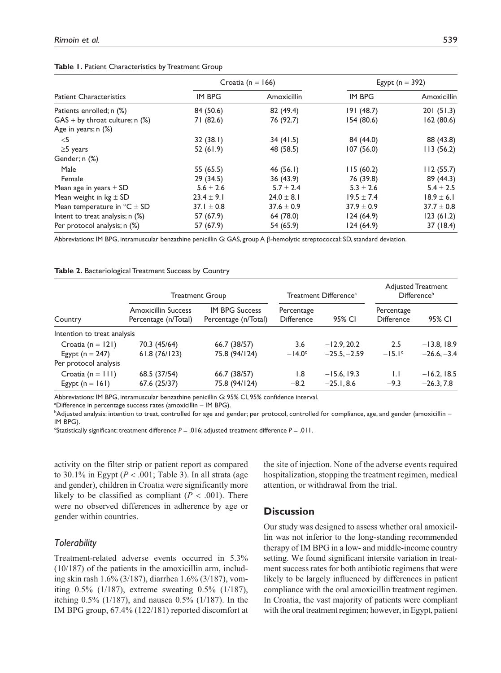| Table 1. Patient Characteristics by Treatment Group |  |
|-----------------------------------------------------|--|
|-----------------------------------------------------|--|

|                                          | Croatia ( $n = 166$ ) |                | Egypt ( $n = 392$ ) |                |
|------------------------------------------|-----------------------|----------------|---------------------|----------------|
| <b>Patient Characteristics</b>           | <b>IM BPG</b>         | Amoxicillin    | IM BPG              | Amoxicillin    |
| Patients enrolled; n (%)                 | 84 (50.6)             | 82 (49.4)      | 191(48.7)           | 201(51.3)      |
| $GAS + by$ throat culture; n $(\%)$      | 71 (82.6)             | 76 (92.7)      | 154 (80.6)          | 162 (80.6)     |
| Age in years; n (%)                      |                       |                |                     |                |
| $<$ 5                                    | 32(38.1)              | 34(41.5)       | 84 (44.0)           | 88 (43.8)      |
| $\geq$ 5 years                           | 52(61.9)              | 48 (58.5)      | 107(56.0)           | 113(56.2)      |
| Gender; n (%)                            |                       |                |                     |                |
| Male                                     | 55 (65.5)             | 46(56.1)       | 115(60.2)           | 112(55.7)      |
| Female                                   | 29 (34.5)             | 36 (43.9)      | 76 (39.8)           | 89 (44.3)      |
| Mean age in years $\pm$ SD               | $5.6 \pm 2.6$         | $5.7 \pm 2.4$  | $5.3 \pm 2.6$       | $5.4 \pm 2.5$  |
| Mean weight in $kg \pm SD$               | $23.4 \pm 9.1$        | $24.0 \pm 8.1$ | $19.5 \pm 7.4$      | $18.9 \pm 6.1$ |
| Mean temperature in ${}^{\circ}C \pm SD$ | $37.1 \pm 0.8$        | $37.6 \pm 0.9$ | $37.9 \pm 0.9$      | $37.7 \pm 0.8$ |
| Intent to treat analysis; n (%)          | 57 (67.9)             | 64 (78.0)      | 124 (64.9)          | 123(61.2)      |
| Per protocol analysis; n (%)             | 57 (67.9)             | 54 (65.9)      | 124 (64.9)          | 37 (18.4)      |

Abbreviations: IM BPG, intramuscular benzathine penicillin G; GAS, group A  $\beta$ -hemolytic streptococcal; SD, standard deviation.

#### **Table 2.** Bacteriological Treatment Success by Country

|                             | Treatment Group                                    |                                               | Treatment Difference <sup>a</sup> |                | Adjusted Treatment<br>Difference <sup>b</sup> |               |
|-----------------------------|----------------------------------------------------|-----------------------------------------------|-----------------------------------|----------------|-----------------------------------------------|---------------|
| Country                     | <b>Amoxicillin Success</b><br>Percentage (n/Total) | <b>IM BPG Success</b><br>Percentage (n/Total) | Percentage<br><b>Difference</b>   | 95% CI         | Percentage<br><b>Difference</b>               | 95% CI        |
| Intention to treat analysis |                                                    |                                               |                                   |                |                                               |               |
| Croatia ( $n = 121$ )       | 70.3 (45/64)                                       | 66.7 (38/57)                                  | 3.6                               | $-12.9.20.2$   | 2.5                                           | $-13.8, 18.9$ |
| Egypt $(n = 247)$           | 61.8(76/123)                                       | 75.8 (94/124)                                 | $-14.0^\circ$                     | $-25.5, -2.59$ | $-15.1^{\circ}$                               | $-26.6, -3.4$ |
| Per protocol analysis       |                                                    |                                               |                                   |                |                                               |               |
| Croatia (n = $ 11\rangle$ ) | 68.5 (37/54)                                       | 66.7 (38/57)                                  | 1.8                               | $-15.6, 19.3$  | $\mathsf{L}$                                  | $-16.2, 18.5$ |
| Egypt $(n = 161)$           | 67.6 (25/37)                                       | 75.8 (94/124)                                 | $-8.2$                            | $-25.1, 8.6$   | $-9.3$                                        | $-26.3, 7.8$  |

Abbreviations: IM BPG, intramuscular benzathine penicillin G; 95% CI, 95% confidence interval.

<sup>a</sup>Difference in percentage success rates (amoxicillin - IM BPG).

 $^{\rm b}$ Adjusted analysis: intention to treat, controlled for age and gender; per protocol, controlled for compliance, age, and gender (amoxicillin – IM BPG).

Statistically significant: treatment difference  $P = .016$ ; adjusted treatment difference  $P = .011$ .

activity on the filter strip or patient report as compared to 30.1% in Egypt (*P* < .001; Table 3). In all strata (age and gender), children in Croatia were significantly more likely to be classified as compliant  $(P < .001)$ . There were no observed differences in adherence by age or gender within countries.

### *Tolerability*

Treatment-related adverse events occurred in 5.3% (10/187) of the patients in the amoxicillin arm, including skin rash 1.6% (3/187), diarrhea 1.6% (3/187), vomiting 0.5% (1/187), extreme sweating 0.5% (1/187), itching 0.5% (1/187), and nausea 0.5% (1/187). In the IM BPG group, 67.4% (122/181) reported discomfort at the site of injection. None of the adverse events required hospitalization, stopping the treatment regimen, medical attention, or withdrawal from the trial.

## **Discussion**

Our study was designed to assess whether oral amoxicillin was not inferior to the long-standing recommended therapy of IM BPG in a low- and middle-income country setting. We found significant intersite variation in treatment success rates for both antibiotic regimens that were likely to be largely influenced by differences in patient compliance with the oral amoxicillin treatment regimen. In Croatia, the vast majority of patients were compliant with the oral treatment regimen; however, in Egypt, patient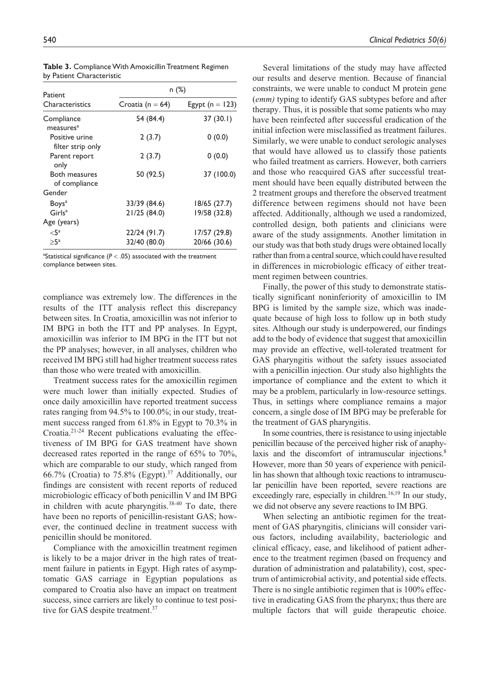| Patient                             | n (%)               |                   |  |  |
|-------------------------------------|---------------------|-------------------|--|--|
| Characteristics                     | Croatia (n = $64$ ) | Egypt $(n = 123)$ |  |  |
| Compliance<br>measures <sup>a</sup> | 54 (84.4)           | 37(30.1)          |  |  |
| Positive urine<br>filter strip only | 2(3.7)              | 0(0.0)            |  |  |
| Parent report<br>only               | 2(3.7)              | 0(0.0)            |  |  |
| Both measures<br>of compliance      | 50 (92.5)           | 37 (100.0)        |  |  |
| Gender                              |                     |                   |  |  |
| <b>Boys</b> <sup>a</sup>            | 33/39 (84.6)        | 18/65 (27.7)      |  |  |
| Girls <sup>a</sup>                  | 21/25 (84.0)        | 19/58 (32.8)      |  |  |
| Age (years)                         |                     |                   |  |  |
| $\leq$ 5 <sup>a</sup>               | 22/24 (91.7)        | 17/57 (29.8)      |  |  |
| $>5^a$                              | 32/40 (80.0)        | 20/66 (30.6)      |  |  |

**Table 3.** Compliance With Amoxicillin Treatment Regimen by Patient Characteristic

<sup>a</sup>Statistical significance ( $P < .05$ ) associated with the treatment compliance between sites.

compliance was extremely low. The differences in the results of the ITT analysis reflect this discrepancy between sites. In Croatia, amoxicillin was not inferior to IM BPG in both the ITT and PP analyses. In Egypt, amoxicillin was inferior to IM BPG in the ITT but not the PP analyses; however, in all analyses, children who received IM BPG still had higher treatment success rates than those who were treated with amoxicillin.

Treatment success rates for the amoxicillin regimen were much lower than initially expected. Studies of once daily amoxicillin have reported treatment success rates ranging from 94.5% to 100.0%; in our study, treatment success ranged from 61.8% in Egypt to 70.3% in Croatia.21-24 Recent publications evaluating the effectiveness of IM BPG for GAS treatment have shown decreased rates reported in the range of 65% to 70%, which are comparable to our study, which ranged from 66.7% (Croatia) to 75.8% (Egypt). $37$  Additionally, our findings are consistent with recent reports of reduced microbiologic efficacy of both penicillin V and IM BPG in children with acute pharyngitis.<sup>38-40</sup> To date, there have been no reports of penicillin-resistant GAS; however, the continued decline in treatment success with penicillin should be monitored.

Compliance with the amoxicillin treatment regimen is likely to be a major driver in the high rates of treatment failure in patients in Egypt. High rates of asymptomatic GAS carriage in Egyptian populations as compared to Croatia also have an impact on treatment success, since carriers are likely to continue to test positive for GAS despite treatment.<sup>37</sup>

Several limitations of the study may have affected our results and deserve mention. Because of financial constraints, we were unable to conduct M protein gene (*emm)* typing to identify GAS subtypes before and after therapy. Thus, it is possible that some patients who may have been reinfected after successful eradication of the initial infection were misclassified as treatment failures. Similarly, we were unable to conduct serologic analyses that would have allowed us to classify those patients who failed treatment as carriers. However, both carriers and those who reacquired GAS after successful treatment should have been equally distributed between the 2 treatment groups and therefore the observed treatment difference between regimens should not have been affected. Additionally, although we used a randomized, controlled design, both patients and clinicians were aware of the study assignments. Another limitation in our study was that both study drugs were obtained locally rather than from a central source, which could have resulted in differences in microbiologic efficacy of either treatment regimen between countries.

Finally, the power of this study to demonstrate statistically significant noninferiority of amoxicillin to IM BPG is limited by the sample size, which was inadequate because of high loss to follow up in both study sites. Although our study is underpowered, our findings add to the body of evidence that suggest that amoxicillin may provide an effective, well-tolerated treatment for GAS pharyngitis without the safety issues associated with a penicillin injection. Our study also highlights the importance of compliance and the extent to which it may be a problem, particularly in low-resource settings. Thus, in settings where compliance remains a major concern, a single dose of IM BPG may be preferable for the treatment of GAS pharyngitis.

In some countries, there is resistance to using injectable penicillin because of the perceived higher risk of anaphylaxis and the discomfort of intramuscular injections.<sup>8</sup> However, more than 50 years of experience with penicillin has shown that although toxic reactions to intramuscular penicillin have been reported, severe reactions are exceedingly rare, especially in children.<sup>16,19</sup> In our study, we did not observe any severe reactions to IM BPG.

When selecting an antibiotic regimen for the treatment of GAS pharyngitis, clinicians will consider various factors, including availability, bacteriologic and clinical efficacy, ease, and likelihood of patient adherence to the treatment regimen (based on frequency and duration of administration and palatability), cost, spectrum of antimicrobial activity, and potential side effects. There is no single antibiotic regimen that is 100% effective in eradicating GAS from the pharynx; thus there are multiple factors that will guide therapeutic choice.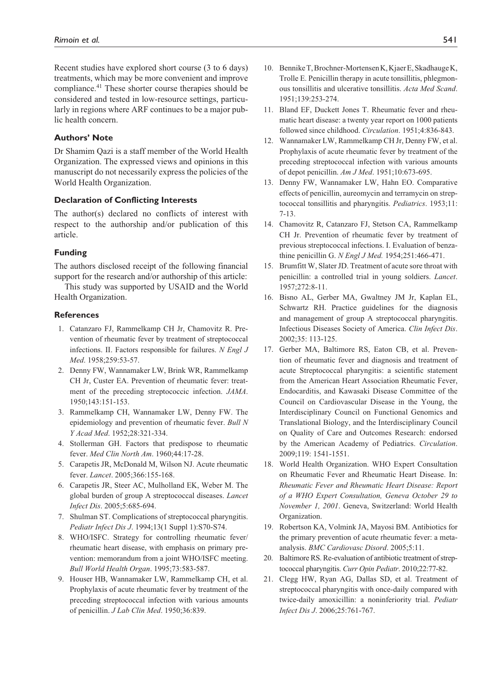Recent studies have explored short course (3 to 6 days) treatments, which may be more convenient and improve compliance.41 These shorter course therapies should be considered and tested in low-resource settings, particularly in regions where ARF continues to be a major public health concern.

# **Authors' Note**

Dr Shamim Qazi is a staff member of the World Health Organization. The expressed views and opinions in this manuscript do not necessarily express the policies of the World Health Organization.

#### **Declaration of Conflicting Interests**

The author(s) declared no conflicts of interest with respect to the authorship and/or publication of this article.

#### **Funding**

The authors disclosed receipt of the following financial support for the research and/or authorship of this article:

This study was supported by USAID and the World Health Organization.

#### **References**

- 1. Catanzaro FJ, Rammelkamp CH Jr, Chamovitz R. Prevention of rheumatic fever by treatment of streptococcal infections. II. Factors responsible for failures. *N Engl J Med*. 1958;259:53-57.
- 2. Denny FW, Wannamaker LW, Brink WR, Rammelkamp CH Jr, Custer EA. Prevention of rheumatic fever: treatment of the preceding streptococcic infection. *JAMA*. 1950;143:151-153.
- 3. Rammelkamp CH, Wannamaker LW, Denny FW. The epidemiology and prevention of rheumatic fever. *Bull N Y Acad Med*. 1952;28:321-334.
- 4. Stollerman GH. Factors that predispose to rheumatic fever. *Med Clin North Am*. 1960;44:17-28.
- 5. Carapetis JR, McDonald M, Wilson NJ. Acute rheumatic fever. *Lancet*. 2005;366:155-168.
- 6. Carapetis JR, Steer AC, Mulholland EK, Weber M. The global burden of group A streptococcal diseases. *Lancet Infect Dis*. 2005;5:685-694.
- 7. Shulman ST. Complications of streptococcal pharyngitis. *Pediatr Infect Dis J*. 1994;13(1 Suppl 1):S70-S74.
- 8. WHO/ISFC. Strategy for controlling rheumatic fever/ rheumatic heart disease, with emphasis on primary prevention: memorandum from a joint WHO/ISFC meeting. *Bull World Health Organ*. 1995;73:583-587.
- 9. Houser HB, Wannamaker LW, Rammelkamp CH, et al. Prophylaxis of acute rheumatic fever by treatment of the preceding streptococcal infection with various amounts of penicillin. *J Lab Clin Med*. 1950;36:839.
- 10. Bennike T, Brochner-Mortensen K, Kjaer E, Skadhauge K, Trolle E. Penicillin therapy in acute tonsillitis, phlegmonous tonsillitis and ulcerative tonsillitis. *Acta Med Scand*. 1951;139:253-274.
- 11. Bland EF, Duckett Jones T. Rheumatic fever and rheumatic heart disease: a twenty year report on 1000 patients followed since childhood. *Circulation*. 1951;4:836-843.
- 12. Wannamaker LW, Rammelkamp CH Jr, Denny FW, et al. Prophylaxis of acute rheumatic fever by treatment of the preceding streptococcal infection with various amounts of depot penicillin. *Am J Med*. 1951;10:673-695.
- 13. Denny FW, Wannamaker LW, Hahn EO. Comparative effects of penicillin, aureomycin and terramycin on streptococcal tonsillitis and pharyngitis. *Pediatrics*. 1953;11: 7-13.
- 14. Chamovitz R, Catanzaro FJ, Stetson CA, Rammelkamp CH Jr. Prevention of rheumatic fever by treatment of previous streptococcal infections. I. Evaluation of benzathine penicillin G. *N Engl J Med.* 1954;251:466-471.
- 15. Brumfitt W, Slater JD. Treatment of acute sore throat with penicillin: a controlled trial in young soldiers. *Lancet*. 1957;272:8-11.
- 16. Bisno AL, Gerber MA, Gwaltney JM Jr, Kaplan EL, Schwartz RH. Practice guidelines for the diagnosis and management of group A streptococcal pharyngitis. Infectious Diseases Society of America. *Clin Infect Dis*. 2002;35: 113-125.
- 17. Gerber MA, Baltimore RS, Eaton CB, et al. Prevention of rheumatic fever and diagnosis and treatment of acute Streptococcal pharyngitis: a scientific statement from the American Heart Association Rheumatic Fever, Endocarditis, and Kawasaki Disease Committee of the Council on Cardiovascular Disease in the Young, the Interdisciplinary Council on Functional Genomics and Translational Biology, and the Interdisciplinary Council on Quality of Care and Outcomes Research: endorsed by the American Academy of Pediatrics. *Circulation*. 2009;119: 1541-1551.
- 18. World Health Organization. WHO Expert Consultation on Rheumatic Fever and Rheumatic Heart Disease. In: *Rheumatic Fever and Rheumatic Heart Disease: Report of a WHO Expert Consultation, Geneva October 29 to November 1, 2001*. Geneva, Switzerland: World Health Organization.
- 19. Robertson KA, Volmink JA, Mayosi BM. Antibiotics for the primary prevention of acute rheumatic fever: a metaanalysis. *BMC Cardiovasc Disord*. 2005;5:11.
- 20. Baltimore RS. Re-evaluation of antibiotic treatment of streptococcal pharyngitis. *Curr Opin Pediatr*. 2010;22:77-82.
- 21. Clegg HW, Ryan AG, Dallas SD, et al. Treatment of streptococcal pharyngitis with once-daily compared with twice-daily amoxicillin: a noninferiority trial. *Pediatr Infect Dis J*. 2006;25:761-767.